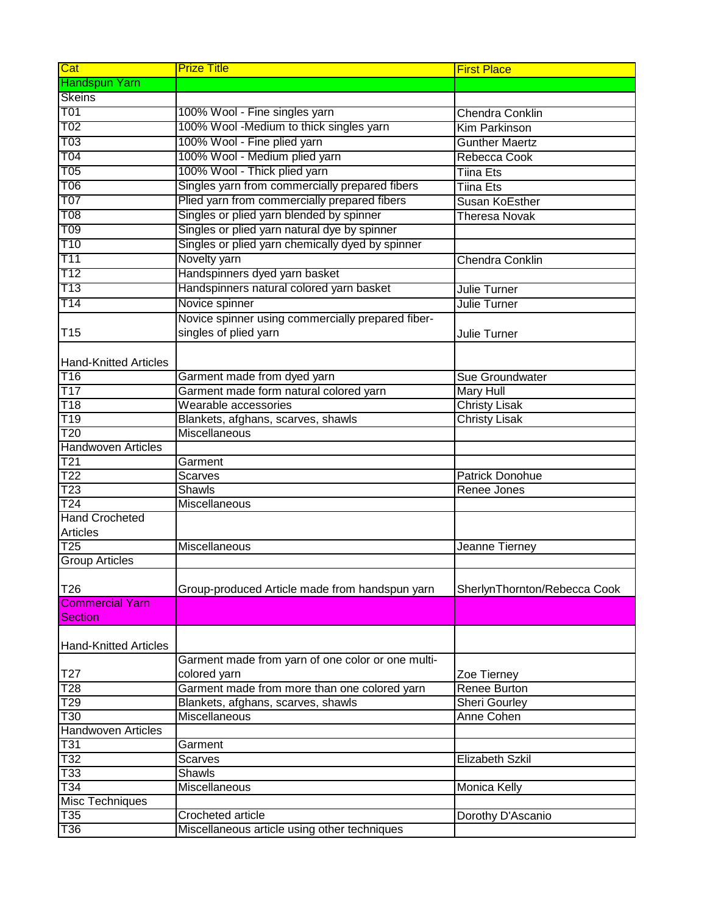| Cat                                      | <b>Prize Title</b>                                | <b>First Place</b>           |
|------------------------------------------|---------------------------------------------------|------------------------------|
| <b>Handspun Yarn</b>                     |                                                   |                              |
| <b>Skeins</b>                            |                                                   |                              |
| T <sub>01</sub>                          | 100% Wool - Fine singles yarn                     | <b>Chendra Conklin</b>       |
| T <sub>02</sub>                          | 100% Wool -Medium to thick singles yarn           | <b>Kim Parkinson</b>         |
| T <sub>03</sub>                          | 100% Wool - Fine plied yarn                       | <b>Gunther Maertz</b>        |
| T <sub>04</sub>                          | 100% Wool - Medium plied yarn                     | Rebecca Cook                 |
| T05                                      | 100% Wool - Thick plied yarn                      | Tiina Ets                    |
| T06                                      | Singles yarn from commercially prepared fibers    | <b>Tiina Ets</b>             |
| <b>T07</b>                               | Plied yarn from commercially prepared fibers      | Susan KoEsther               |
| <b>T08</b>                               | Singles or plied yarn blended by spinner          | <b>Theresa Novak</b>         |
| T09                                      | Singles or plied yarn natural dye by spinner      |                              |
| T10                                      | Singles or plied yarn chemically dyed by spinner  |                              |
| T <sub>11</sub>                          | Novelty yarn                                      | <b>Chendra Conklin</b>       |
| T12                                      | Handspinners dyed yarn basket                     |                              |
| <b>T13</b>                               | Handspinners natural colored yarn basket          | Julie Turner                 |
| T14                                      | Novice spinner                                    | Julie Turner                 |
|                                          | Novice spinner using commercially prepared fiber- |                              |
| T <sub>15</sub>                          | singles of plied yarn                             | <b>Julie Turner</b>          |
|                                          |                                                   |                              |
| <b>Hand-Knitted Articles</b>             |                                                   |                              |
| T <sub>16</sub>                          | Garment made from dyed yarn                       | Sue Groundwater              |
| T17                                      | Garment made form natural colored yarn            | Mary Hull                    |
| T18                                      | Wearable accessories                              | <b>Christy Lisak</b>         |
| T <sub>19</sub>                          | Blankets, afghans, scarves, shawls                | <b>Christy Lisak</b>         |
| $\overline{120}$                         | Miscellaneous                                     |                              |
| <b>Handwoven Articles</b>                |                                                   |                              |
| T21                                      | Garment                                           |                              |
| $\overline{122}$                         | Scarves                                           | Patrick Donohue              |
| $\overline{123}$                         | <b>Shawls</b>                                     | Renee Jones                  |
| $\overline{124}$                         | Miscellaneous                                     |                              |
| <b>Hand Crocheted</b>                    |                                                   |                              |
| <b>Articles</b>                          |                                                   |                              |
| $\overline{125}$                         | Miscellaneous                                     | Jeanne Tierney               |
| <b>Group Articles</b>                    |                                                   |                              |
|                                          |                                                   |                              |
| T <sub>26</sub>                          | Group-produced Article made from handspun yarn    | SherlynThornton/Rebecca Cook |
| <b>Commercial Yarn</b><br><b>Section</b> |                                                   |                              |
|                                          |                                                   |                              |
| <b>Hand-Knitted Articles</b>             |                                                   |                              |
|                                          | Garment made from yarn of one color or one multi- |                              |
| T <sub>27</sub>                          | colored yarn                                      | Zoe Tierney                  |
| T <sub>28</sub>                          | Garment made from more than one colored yarn      | Renee Burton                 |
| T29                                      | Blankets, afghans, scarves, shawls                | Sheri Gourley                |
| $\overline{130}$                         | Miscellaneous                                     | Anne Cohen                   |
| <b>Handwoven Articles</b>                |                                                   |                              |
| T31                                      | Garment                                           |                              |
| $\overline{132}$                         | <b>Scarves</b>                                    | Elizabeth Szkil              |
| $\overline{133}$                         | Shawls                                            |                              |
| $\overline{T34}$                         | Miscellaneous                                     | Monica Kelly                 |
| Misc Techniques                          |                                                   |                              |
| T35                                      | Crocheted article                                 | Dorothy D'Ascanio            |
| T36                                      | Miscellaneous article using other techniques      |                              |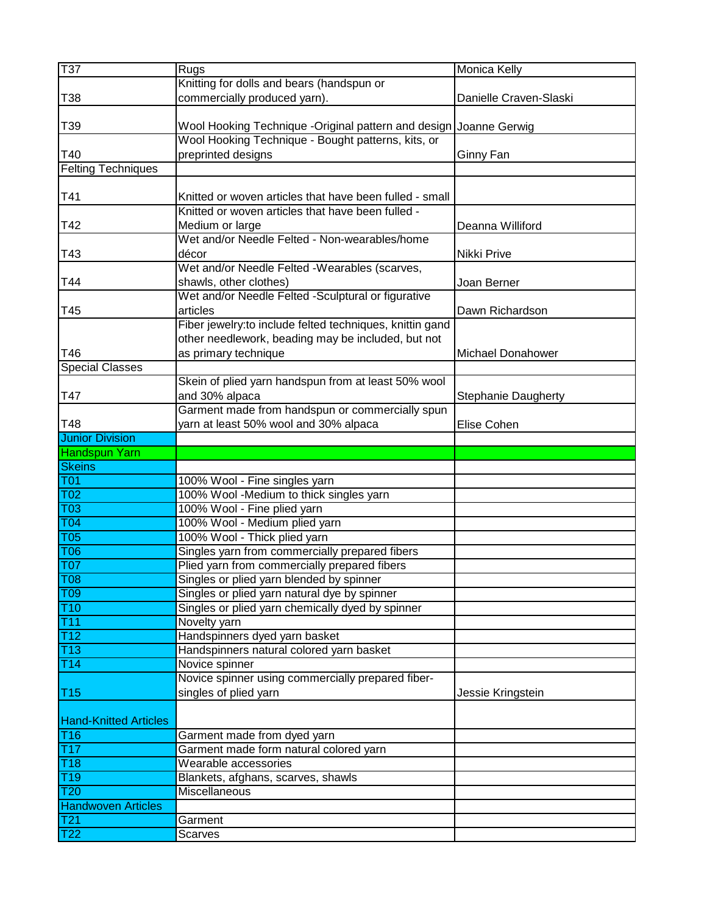| T37                                            | Rugs                                                              | Monica Kelly               |
|------------------------------------------------|-------------------------------------------------------------------|----------------------------|
|                                                | Knitting for dolls and bears (handspun or                         |                            |
| T38                                            | commercially produced yarn).                                      | Danielle Craven-Slaski     |
|                                                |                                                                   |                            |
| T39                                            | Wool Hooking Technique -Original pattern and design Joanne Gerwig |                            |
|                                                | Wool Hooking Technique - Bought patterns, kits, or                |                            |
| T40                                            | preprinted designs                                                | Ginny Fan                  |
| <b>Felting Techniques</b>                      |                                                                   |                            |
|                                                |                                                                   |                            |
| T41                                            | Knitted or woven articles that have been fulled - small           |                            |
|                                                | Knitted or woven articles that have been fulled -                 |                            |
| T42                                            | Medium or large                                                   | Deanna Williford           |
|                                                | Wet and/or Needle Felted - Non-wearables/home                     |                            |
| T43                                            | décor                                                             | Nikki Prive                |
|                                                | Wet and/or Needle Felted -Wearables (scarves,                     |                            |
| T44                                            | shawls, other clothes)                                            | Joan Berner                |
|                                                | Wet and/or Needle Felted -Sculptural or figurative                |                            |
| T45                                            | articles                                                          | Dawn Richardson            |
|                                                | Fiber jewelry: to include felted techniques, knittin gand         |                            |
|                                                | other needlework, beading may be included, but not                |                            |
| T46                                            | as primary technique                                              | Michael Donahower          |
|                                                |                                                                   |                            |
| <b>Special Classes</b>                         | Skein of plied yarn handspun from at least 50% wool               |                            |
|                                                |                                                                   |                            |
| T47                                            | and 30% alpaca                                                    | <b>Stephanie Daugherty</b> |
|                                                | Garment made from handspun or commercially spun                   |                            |
| T48                                            | yarn at least 50% wool and 30% alpaca                             | Elise Cohen                |
| <b>Junior Division</b><br><b>Handspun Yarn</b> |                                                                   |                            |
|                                                |                                                                   |                            |
|                                                |                                                                   |                            |
| <b>Skeins</b>                                  |                                                                   |                            |
| <b>T01</b>                                     | 100% Wool - Fine singles yarn                                     |                            |
| T <sub>02</sub>                                | 100% Wool -Medium to thick singles yarn                           |                            |
| T <sub>03</sub>                                | 100% Wool - Fine plied yarn                                       |                            |
| T <sub>04</sub>                                | 100% Wool - Medium plied yarn                                     |                            |
| T <sub>05</sub>                                | 100% Wool - Thick plied yarn                                      |                            |
| T <sub>06</sub>                                | Singles yarn from commercially prepared fibers                    |                            |
| <b>T07</b>                                     | Plied yarn from commercially prepared fibers                      |                            |
| <b>T08</b>                                     | Singles or plied yarn blended by spinner                          |                            |
| <b>T09</b>                                     | Singles or plied yarn natural dye by spinner                      |                            |
| T10                                            | Singles or plied yarn chemically dyed by spinner                  |                            |
| T11                                            | Novelty yarn                                                      |                            |
| T12                                            | Handspinners dyed yarn basket                                     |                            |
| T13                                            | Handspinners natural colored yarn basket                          |                            |
| T14                                            | Novice spinner                                                    |                            |
|                                                | Novice spinner using commercially prepared fiber-                 |                            |
| <b>T15</b>                                     | singles of plied yarn                                             | Jessie Kringstein          |
|                                                |                                                                   |                            |
| <b>Hand-Knitted Articles</b>                   |                                                                   |                            |
| <b>T16</b>                                     | Garment made from dyed yarn                                       |                            |
| T17                                            | Garment made form natural colored yarn                            |                            |
| $\overline{118}$                               | Wearable accessories                                              |                            |
| T19                                            | Blankets, afghans, scarves, shawls                                |                            |
| T <sub>20</sub>                                | Miscellaneous                                                     |                            |
| <b>Handwoven Articles</b>                      |                                                                   |                            |
| T <sub>21</sub><br>$\overline{122}$            | Garment<br><b>Scarves</b>                                         |                            |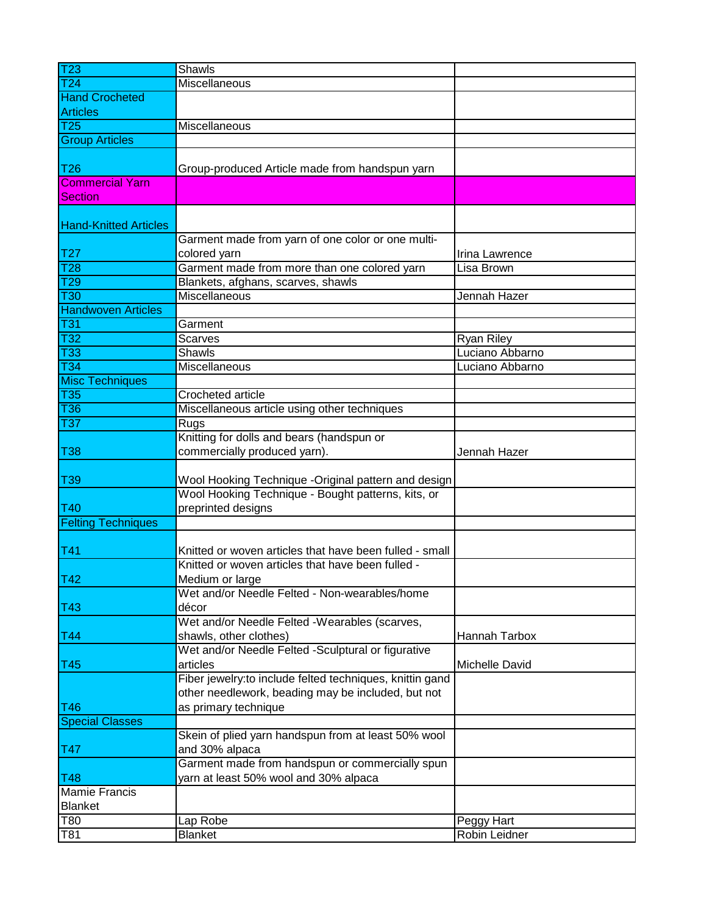| $\overline{123}$             | Shawls                                                    |                   |
|------------------------------|-----------------------------------------------------------|-------------------|
| $\overline{124}$             | Miscellaneous                                             |                   |
| <b>Hand Crocheted</b>        |                                                           |                   |
| <b>Articles</b>              |                                                           |                   |
| $\overline{125}$             | Miscellaneous                                             |                   |
| <b>Group Articles</b>        |                                                           |                   |
|                              |                                                           |                   |
| T <sub>26</sub>              | Group-produced Article made from handspun yarn            |                   |
| <b>Commercial Yarn</b>       |                                                           |                   |
| <b>Section</b>               |                                                           |                   |
|                              |                                                           |                   |
| <b>Hand-Knitted Articles</b> |                                                           |                   |
|                              | Garment made from yarn of one color or one multi-         |                   |
| T <sub>27</sub>              | colored yarn                                              | Irina Lawrence    |
| $\overline{128}$             | Garment made from more than one colored yarn              | Lisa Brown        |
| T29                          | Blankets, afghans, scarves, shawls                        |                   |
| $\overline{130}$             | Miscellaneous                                             | Jennah Hazer      |
| <b>Handwoven Articles</b>    |                                                           |                   |
| <b>T31</b>                   | Garment                                                   |                   |
| $\overline{132}$             | Scarves                                                   | <b>Ryan Riley</b> |
| <b>T33</b>                   | <b>Shawls</b>                                             | Luciano Abbarno   |
| $\overline{134}$             | Miscellaneous                                             | Luciano Abbarno   |
| <b>Misc Techniques</b>       |                                                           |                   |
| $\overline{135}$             | <b>Crocheted article</b>                                  |                   |
| <b>T36</b>                   | Miscellaneous article using other techniques              |                   |
| $\overline{137}$             | Rugs                                                      |                   |
|                              | Knitting for dolls and bears (handspun or                 |                   |
| <b>T38</b>                   | commercially produced yarn).                              | Jennah Hazer      |
|                              |                                                           |                   |
| T39                          | Wool Hooking Technique -Original pattern and design       |                   |
|                              | Wool Hooking Technique - Bought patterns, kits, or        |                   |
| T40                          | preprinted designs                                        |                   |
| <b>Felting Techniques</b>    |                                                           |                   |
|                              |                                                           |                   |
| T41                          | Knitted or woven articles that have been fulled - small   |                   |
|                              | Knitted or woven articles that have been fulled -         |                   |
| T42                          | Medium or large                                           |                   |
|                              | Wet and/or Needle Felted - Non-wearables/home             |                   |
| T43                          | décor                                                     |                   |
|                              | Wet and/or Needle Felted -Wearables (scarves,             |                   |
| T44                          | shawls, other clothes)                                    | Hannah Tarbox     |
|                              | Wet and/or Needle Felted -Sculptural or figurative        |                   |
| T45                          | articles                                                  | Michelle David    |
|                              | Fiber jewelry: to include felted techniques, knittin gand |                   |
|                              | other needlework, beading may be included, but not        |                   |
| T46                          | as primary technique                                      |                   |
| <b>Special Classes</b>       |                                                           |                   |
|                              | Skein of plied yarn handspun from at least 50% wool       |                   |
| T47                          | and 30% alpaca                                            |                   |
|                              | Garment made from handspun or commercially spun           |                   |
| <b>T48</b>                   | yarn at least 50% wool and 30% alpaca                     |                   |
| <b>Mamie Francis</b>         |                                                           |                   |
| <b>Blanket</b>               |                                                           |                   |
| T80                          | Lap Robe                                                  | Peggy Hart        |
| T81                          | <b>Blanket</b>                                            | Robin Leidner     |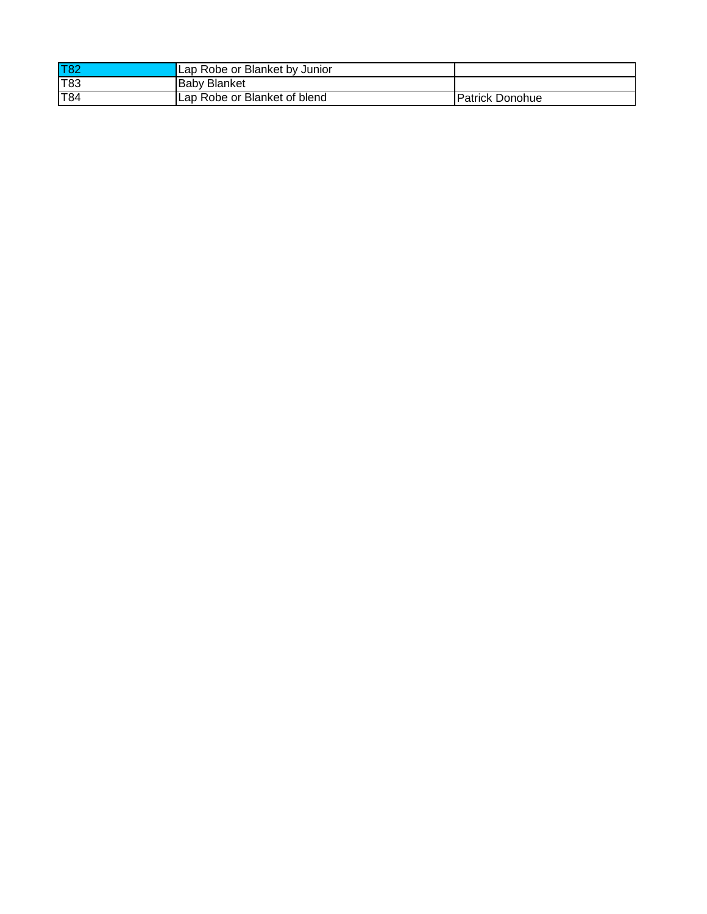| <b>T82</b> | Lap Robe or Blanket by Junior |                        |
|------------|-------------------------------|------------------------|
| T83        | <b>Baby Blanket</b>           |                        |
| T84        | Lap Robe or Blanket of blend  | <b>Patrick Donohue</b> |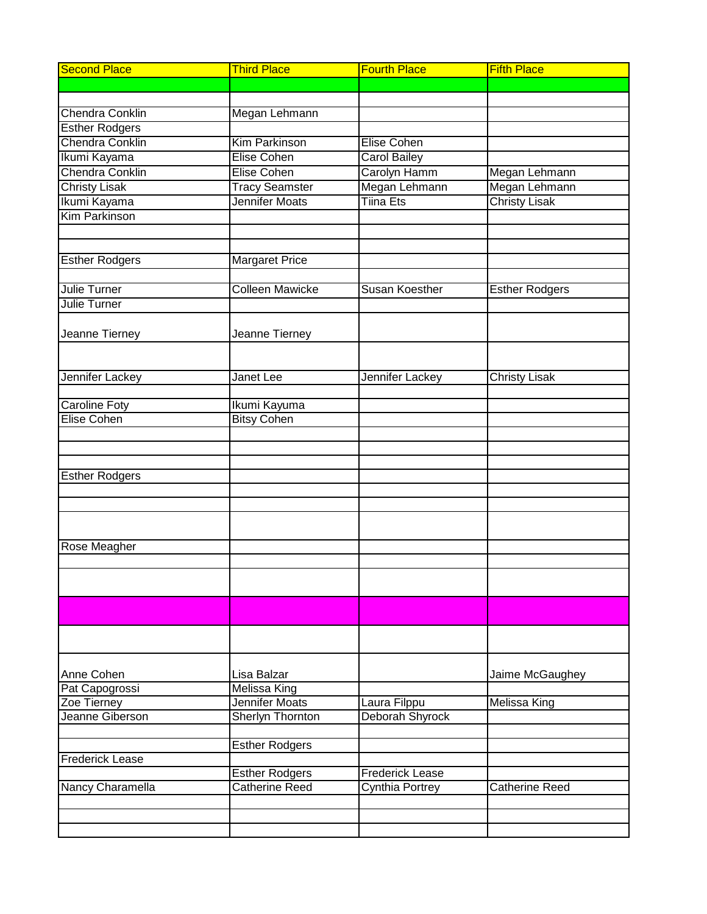| <b>Second Place</b>    | <b>Third Place</b>      | <b>Fourth Place</b>    | <b>Fifth Place</b>    |
|------------------------|-------------------------|------------------------|-----------------------|
|                        |                         |                        |                       |
|                        |                         |                        |                       |
| <b>Chendra Conklin</b> | Megan Lehmann           |                        |                       |
| <b>Esther Rodgers</b>  |                         |                        |                       |
| Chendra Conklin        | <b>Kim Parkinson</b>    | <b>Elise Cohen</b>     |                       |
| Ikumi Kayama           | <b>Elise Cohen</b>      | <b>Carol Bailey</b>    |                       |
| Chendra Conklin        | <b>Elise Cohen</b>      | Carolyn Hamm           | Megan Lehmann         |
| <b>Christy Lisak</b>   | <b>Tracy Seamster</b>   | Megan Lehmann          | Megan Lehmann         |
| Ikumi Kayama           | Jennifer Moats          | <b>Tiina Ets</b>       | <b>Christy Lisak</b>  |
| <b>Kim Parkinson</b>   |                         |                        |                       |
|                        |                         |                        |                       |
|                        |                         |                        |                       |
| <b>Esther Rodgers</b>  | Margaret Price          |                        |                       |
|                        |                         |                        |                       |
| Julie Turner           | <b>Colleen Mawicke</b>  | <b>Susan Koesther</b>  | <b>Esther Rodgers</b> |
| <b>Julie Turner</b>    |                         |                        |                       |
|                        |                         |                        |                       |
| Jeanne Tierney         | Jeanne Tierney          |                        |                       |
|                        |                         |                        |                       |
|                        |                         |                        |                       |
| Jennifer Lackey        | Janet Lee               | Jennifer Lackey        | <b>Christy Lisak</b>  |
| <b>Caroline Foty</b>   | Ikumi Kayuma            |                        |                       |
| <b>Elise Cohen</b>     | <b>Bitsy Cohen</b>      |                        |                       |
|                        |                         |                        |                       |
|                        |                         |                        |                       |
|                        |                         |                        |                       |
| <b>Esther Rodgers</b>  |                         |                        |                       |
|                        |                         |                        |                       |
|                        |                         |                        |                       |
|                        |                         |                        |                       |
|                        |                         |                        |                       |
| Rose Meagher           |                         |                        |                       |
|                        |                         |                        |                       |
|                        |                         |                        |                       |
|                        |                         |                        |                       |
|                        |                         |                        |                       |
|                        |                         |                        |                       |
|                        |                         |                        |                       |
| Anne Cohen             | Lisa Balzar             |                        | Jaime McGaughey       |
| Pat Capogrossi         | <b>Melissa King</b>     |                        |                       |
| Zoe Tierney            | Jennifer Moats          | Laura Filppu           | Melissa King          |
| Jeanne Giberson        | <b>Sherlyn Thornton</b> | Deborah Shyrock        |                       |
|                        |                         |                        |                       |
|                        | <b>Esther Rodgers</b>   |                        |                       |
| <b>Frederick Lease</b> |                         |                        |                       |
|                        | <b>Esther Rodgers</b>   | <b>Frederick Lease</b> |                       |
| Nancy Charamella       | <b>Catherine Reed</b>   | Cynthia Portrey        | Catherine Reed        |
|                        |                         |                        |                       |
|                        |                         |                        |                       |
|                        |                         |                        |                       |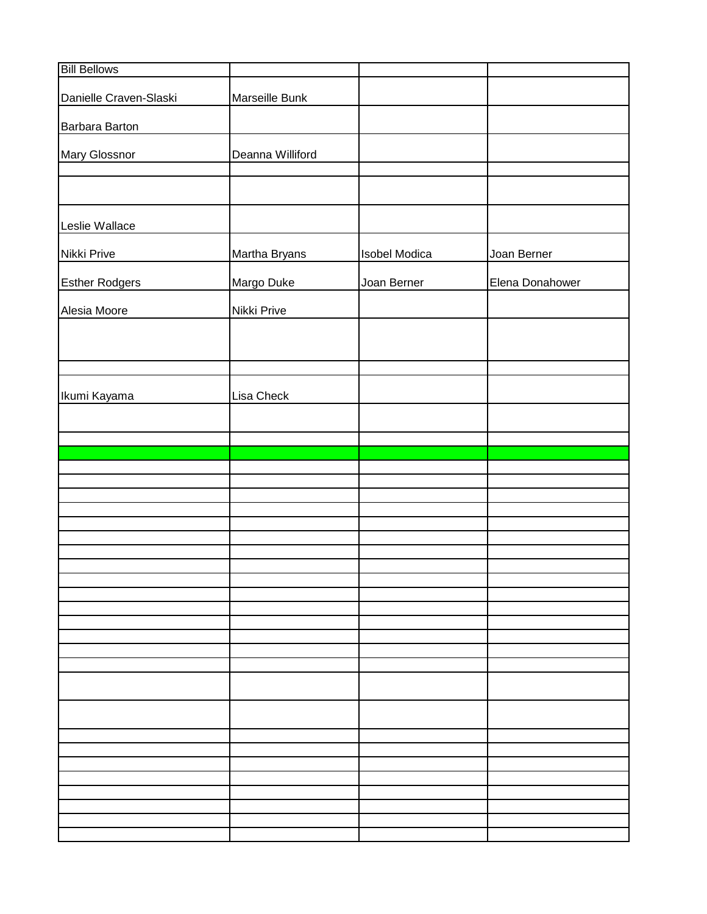| Marseille Bunk<br>Deanna Williford<br>Martha Bryans<br><b>Isobel Modica</b><br>Joan Berner<br>Margo Duke<br>Joan Berner<br>Elena Donahower<br>Nikki Prive<br>Lisa Check | <b>Bill Bellows</b>    |  |  |
|-------------------------------------------------------------------------------------------------------------------------------------------------------------------------|------------------------|--|--|
|                                                                                                                                                                         | Danielle Craven-Slaski |  |  |
|                                                                                                                                                                         | Barbara Barton         |  |  |
|                                                                                                                                                                         | Mary Glossnor          |  |  |
|                                                                                                                                                                         |                        |  |  |
|                                                                                                                                                                         |                        |  |  |
|                                                                                                                                                                         | Leslie Wallace         |  |  |
|                                                                                                                                                                         | Nikki Prive            |  |  |
|                                                                                                                                                                         | <b>Esther Rodgers</b>  |  |  |
|                                                                                                                                                                         | Alesia Moore           |  |  |
|                                                                                                                                                                         |                        |  |  |
|                                                                                                                                                                         |                        |  |  |
|                                                                                                                                                                         | Ikumi Kayama           |  |  |
|                                                                                                                                                                         |                        |  |  |
|                                                                                                                                                                         |                        |  |  |
|                                                                                                                                                                         |                        |  |  |
|                                                                                                                                                                         |                        |  |  |
|                                                                                                                                                                         |                        |  |  |
|                                                                                                                                                                         |                        |  |  |
|                                                                                                                                                                         |                        |  |  |
|                                                                                                                                                                         |                        |  |  |
|                                                                                                                                                                         |                        |  |  |
|                                                                                                                                                                         |                        |  |  |
|                                                                                                                                                                         |                        |  |  |
|                                                                                                                                                                         |                        |  |  |
|                                                                                                                                                                         |                        |  |  |
|                                                                                                                                                                         |                        |  |  |
|                                                                                                                                                                         |                        |  |  |
|                                                                                                                                                                         |                        |  |  |
|                                                                                                                                                                         |                        |  |  |
|                                                                                                                                                                         |                        |  |  |
|                                                                                                                                                                         |                        |  |  |
|                                                                                                                                                                         |                        |  |  |
|                                                                                                                                                                         |                        |  |  |
|                                                                                                                                                                         |                        |  |  |
|                                                                                                                                                                         |                        |  |  |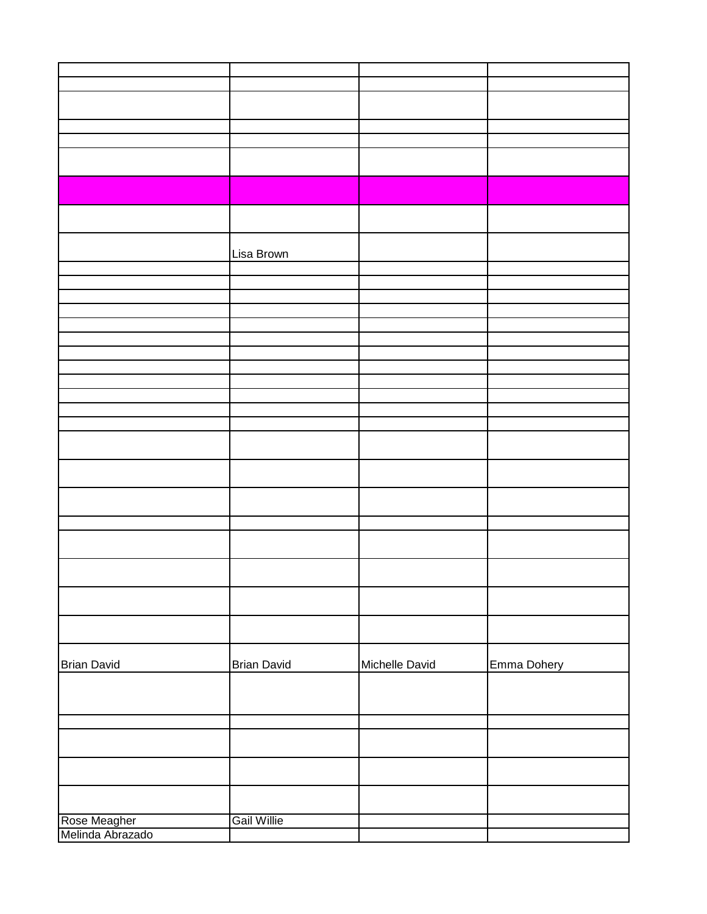|                                  | Lisa Brown         |                |             |
|----------------------------------|--------------------|----------------|-------------|
|                                  |                    |                |             |
|                                  |                    |                |             |
|                                  |                    |                |             |
|                                  |                    |                |             |
|                                  |                    |                |             |
|                                  |                    |                |             |
|                                  |                    |                |             |
|                                  |                    |                |             |
|                                  |                    |                |             |
|                                  |                    |                |             |
|                                  |                    |                |             |
|                                  |                    |                |             |
|                                  |                    |                |             |
|                                  |                    |                |             |
|                                  |                    |                |             |
|                                  |                    |                |             |
|                                  |                    |                |             |
|                                  |                    |                |             |
|                                  |                    |                |             |
|                                  |                    |                |             |
| <b>Brian David</b>               | <b>Brian David</b> | Michelle David | Emma Dohery |
|                                  |                    |                |             |
|                                  |                    |                |             |
|                                  |                    |                |             |
|                                  |                    |                |             |
|                                  |                    |                |             |
| Rose Meagher<br>Melinda Abrazado | <b>Gail Willie</b> |                |             |
|                                  |                    |                |             |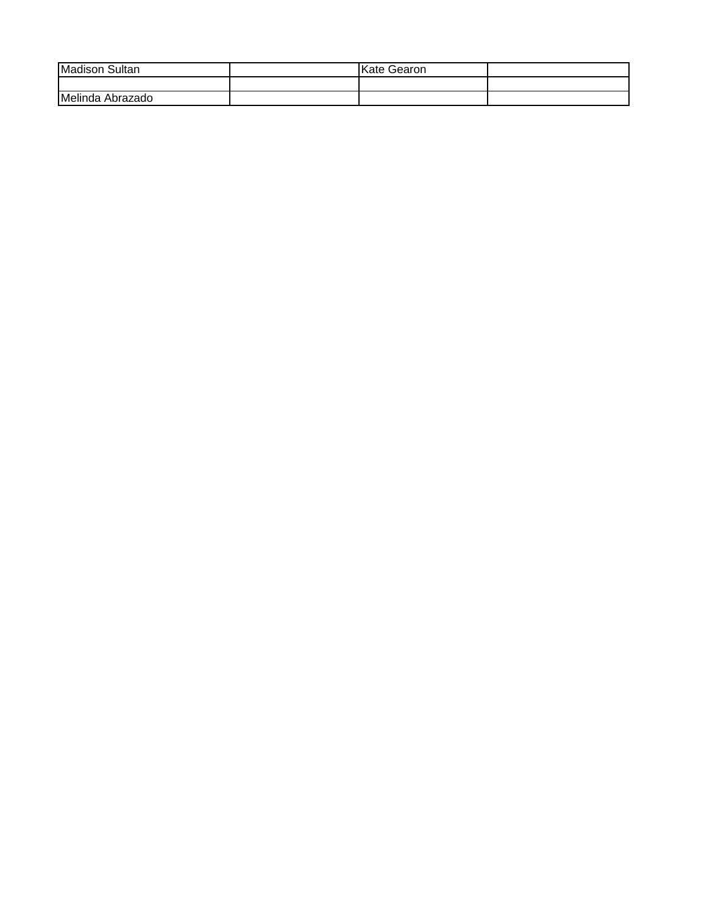| Madison<br>Sultan   | √ate<br>Gearon |  |
|---------------------|----------------|--|
|                     |                |  |
| Melinda<br>Abrazado |                |  |